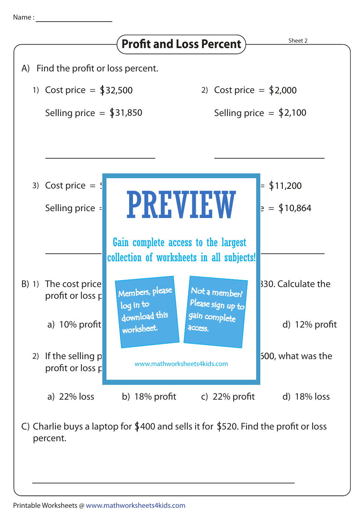